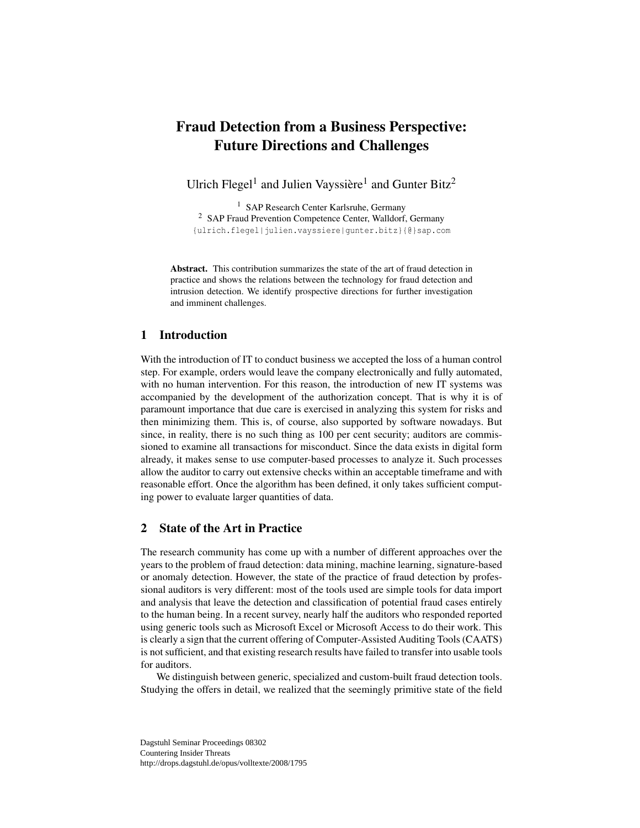# Fraud Detection from a Business Perspective: Future Directions and Challenges

Ulrich Flegel<sup>1</sup> and Julien Vayssière<sup>1</sup> and Gunter Bitz<sup>2</sup>

<sup>1</sup> SAP Research Center Karlsruhe, Germany <sup>2</sup> SAP Fraud Prevention Competence Center, Walldorf, Germany {ulrich.flegel|julien.vayssiere|gunter.bitz}{@}sap.com

Abstract. This contribution summarizes the state of the art of fraud detection in practice and shows the relations between the technology for fraud detection and intrusion detection. We identify prospective directions for further investigation and imminent challenges.

## 1 Introduction

With the introduction of IT to conduct business we accepted the loss of a human control step. For example, orders would leave the company electronically and fully automated, with no human intervention. For this reason, the introduction of new IT systems was accompanied by the development of the authorization concept. That is why it is of paramount importance that due care is exercised in analyzing this system for risks and then minimizing them. This is, of course, also supported by software nowadays. But since, in reality, there is no such thing as 100 per cent security; auditors are commissioned to examine all transactions for misconduct. Since the data exists in digital form already, it makes sense to use computer-based processes to analyze it. Such processes allow the auditor to carry out extensive checks within an acceptable timeframe and with reasonable effort. Once the algorithm has been defined, it only takes sufficient computing power to evaluate larger quantities of data.

# 2 State of the Art in Practice

The research community has come up with a number of different approaches over the years to the problem of fraud detection: data mining, machine learning, signature-based or anomaly detection. However, the state of the practice of fraud detection by professional auditors is very different: most of the tools used are simple tools for data import and analysis that leave the detection and classification of potential fraud cases entirely to the human being. In a recent survey, nearly half the auditors who responded reported using generic tools such as Microsoft Excel or Microsoft Access to do their work. This is clearly a sign that the current offering of Computer-Assisted Auditing Tools (CAATS) is not sufficient, and that existing research results have failed to transfer into usable tools for auditors.

We distinguish between generic, specialized and custom-built fraud detection tools. Studying the offers in detail, we realized that the seemingly primitive state of the field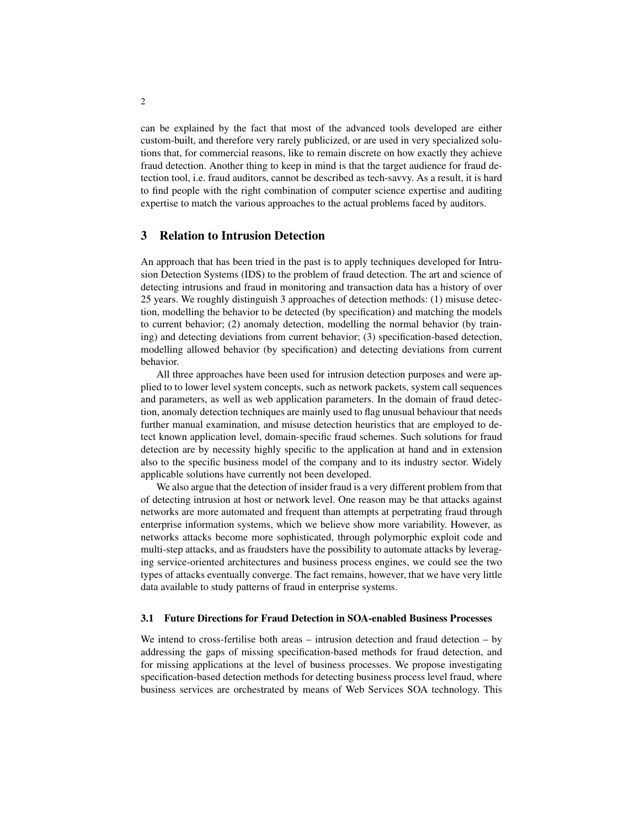can be explained by the fact that most of the advanced tools developed are either custom-built, and therefore very rarely publicized, or are used in very specialized solutions that, for commercial reasons, like to remain discrete on how exactly they achieve fraud detection. Another thing to keep in mind is that the target audience for fraud detection tool, i.e. fraud auditors, cannot be described as tech-savvy. As a result, it is hard to find people with the right combination of computer science expertise and auditing expertise to match the various approaches to the actual problems faced by auditors.

## 3 Relation to Intrusion Detection

An approach that has been tried in the past is to apply techniques developed for Intrusion Detection Systems (IDS) to the problem of fraud detection. The art and science of detecting intrusions and fraud in monitoring and transaction data has a history of over 25 years. We roughly distinguish 3 approaches of detection methods: (1) misuse detection, modelling the behavior to be detected (by specification) and matching the models to current behavior; (2) anomaly detection, modelling the normal behavior (by training) and detecting deviations from current behavior; (3) specification-based detection, modelling allowed behavior (by specification) and detecting deviations from current behavior.

All three approaches have been used for intrusion detection purposes and were applied to to lower level system concepts, such as network packets, system call sequences and parameters, as well as web application parameters. In the domain of fraud detection, anomaly detection techniques are mainly used to flag unusual behaviour that needs further manual examination, and misuse detection heuristics that are employed to detect known application level, domain-specific fraud schemes. Such solutions for fraud detection are by necessity highly specific to the application at hand and in extension also to the specific business model of the company and to its industry sector. Widely applicable solutions have currently not been developed.

We also argue that the detection of insider fraud is a very different problem from that of detecting intrusion at host or network level. One reason may be that attacks against networks are more automated and frequent than attempts at perpetrating fraud through enterprise information systems, which we believe show more variability. However, as networks attacks become more sophisticated, through polymorphic exploit code and multi-step attacks, and as fraudsters have the possibility to automate attacks by leveraging service-oriented architectures and business process engines, we could see the two types of attacks eventually converge. The fact remains, however, that we have very little data available to study patterns of fraud in enterprise systems.

#### 3.1 Future Directions for Fraud Detection in SOA-enabled Business Processes

We intend to cross-fertilise both areas – intrusion detection and fraud detection – by addressing the gaps of missing specification-based methods for fraud detection, and for missing applications at the level of business processes. We propose investigating specification-based detection methods for detecting business process level fraud, where business services are orchestrated by means of Web Services SOA technology. This